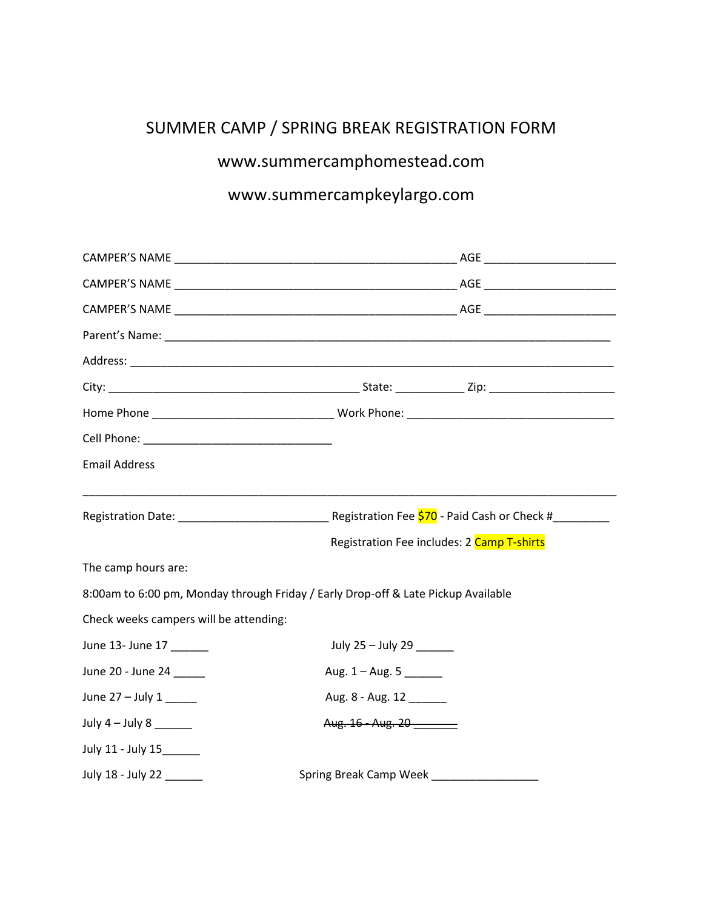# SUMMER CAMP / SPRING BREAK REGISTRATION FORM

## [www.summercamphomestead.com](http://www.summercamphomestead.com/)

## www.summercampkeylargo.com

| <b>Email Address</b>                   |                                                                                   |                                            |  |  |  |  |
|----------------------------------------|-----------------------------------------------------------------------------------|--------------------------------------------|--|--|--|--|
|                                        | Registration Date: 1980 March 2010 Registration Fee 570 - Paid Cash or Check #    |                                            |  |  |  |  |
|                                        |                                                                                   | Registration Fee includes: 2 Camp T-shirts |  |  |  |  |
| The camp hours are:                    |                                                                                   |                                            |  |  |  |  |
|                                        | 8:00am to 6:00 pm, Monday through Friday / Early Drop-off & Late Pickup Available |                                            |  |  |  |  |
| Check weeks campers will be attending: |                                                                                   |                                            |  |  |  |  |
| June 13- June 17                       |                                                                                   | July 25 - July 29 _____                    |  |  |  |  |
| June 20 - June 24                      |                                                                                   | Aug. $1 -$ Aug. 5                          |  |  |  |  |
| June $27 -$ July $1$ _______           |                                                                                   | Aug. 8 - Aug. 12                           |  |  |  |  |
| July $4$ – July $8$ _______            | Aug. 16 - Aug. 20                                                                 |                                            |  |  |  |  |
| July 11 - July 15______                |                                                                                   |                                            |  |  |  |  |
| July 18 - July 22 ______               | Spring Break Camp Week _________                                                  |                                            |  |  |  |  |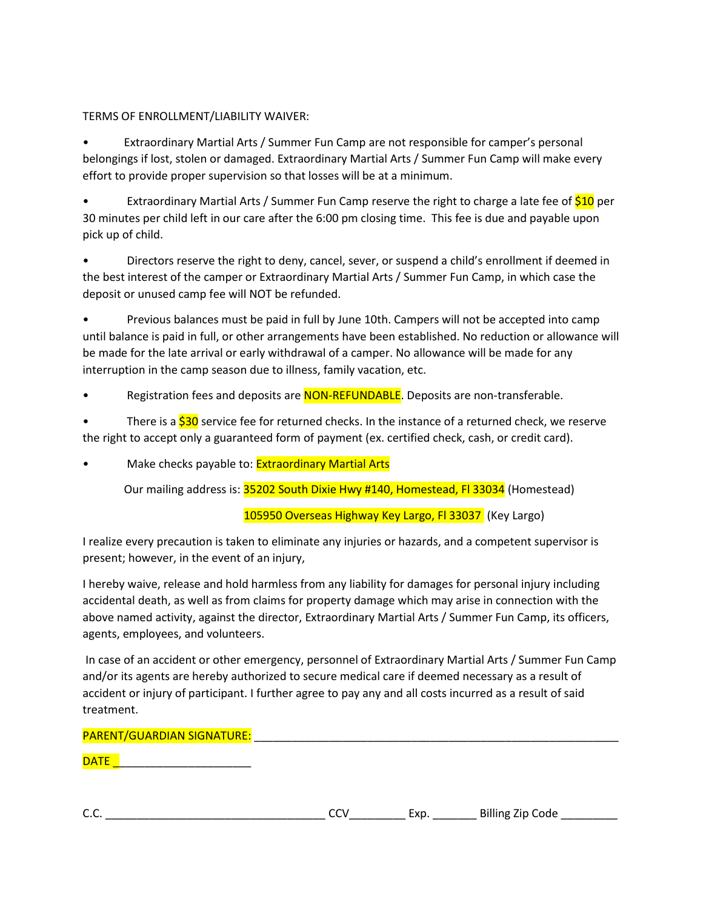### TERMS OF ENROLLMENT/LIABILITY WAIVER:

• Extraordinary Martial Arts / Summer Fun Camp are not responsible for camper's personal belongings if lost, stolen or damaged. Extraordinary Martial Arts / Summer Fun Camp will make every effort to provide proper supervision so that losses will be at a minimum.

Extraordinary Martial Arts / Summer Fun Camp reserve the right to charge a late fee of \$10 per 30 minutes per child left in our care after the 6:00 pm closing time. This fee is due and payable upon pick up of child.

• Directors reserve the right to deny, cancel, sever, or suspend a child's enrollment if deemed in the best interest of the camper or Extraordinary Martial Arts / Summer Fun Camp, in which case the deposit or unused camp fee will NOT be refunded.

• Previous balances must be paid in full by June 10th. Campers will not be accepted into camp until balance is paid in full, or other arrangements have been established. No reduction or allowance will be made for the late arrival or early withdrawal of a camper. No allowance will be made for any interruption in the camp season due to illness, family vacation, etc.

Registration fees and deposits are **NON-REFUNDABLE**. Deposits are non-transferable.

There is a \$30 service fee for returned checks. In the instance of a returned check, we reserve the right to accept only a guaranteed form of payment (ex. certified check, cash, or credit card).

Make checks payable to: **Extraordinary Martial Arts** 

Our mailing address is: 35202 South Dixie Hwy #140, Homestead, Fl 33034 (Homestead)

105950 Overseas Highway Key Largo, Fl 33037 (Key Largo)

I realize every precaution is taken to eliminate any injuries or hazards, and a competent supervisor is present; however, in the event of an injury,

I hereby waive, release and hold harmless from any liability for damages for personal injury including accidental death, as well as from claims for property damage which may arise in connection with the above named activity, against the director, Extraordinary Martial Arts / Summer Fun Camp, its officers, agents, employees, and volunteers.

In case of an accident or other emergency, personnel of Extraordinary Martial Arts / Summer Fun Camp and/or its agents are hereby authorized to secure medical care if deemed necessary as a result of accident or injury of participant. I further agree to pay any and all costs incurred as a result of said treatment.

### PARENT/GUARDIAN SIGNATURE:

DATE \_\_\_\_\_\_\_\_\_\_\_\_\_\_\_\_\_\_\_\_\_\_

| $\sim$<br>.11 <sub>K</sub><br>,<br>J.,<br>-<br>-- | code |
|---------------------------------------------------|------|
|---------------------------------------------------|------|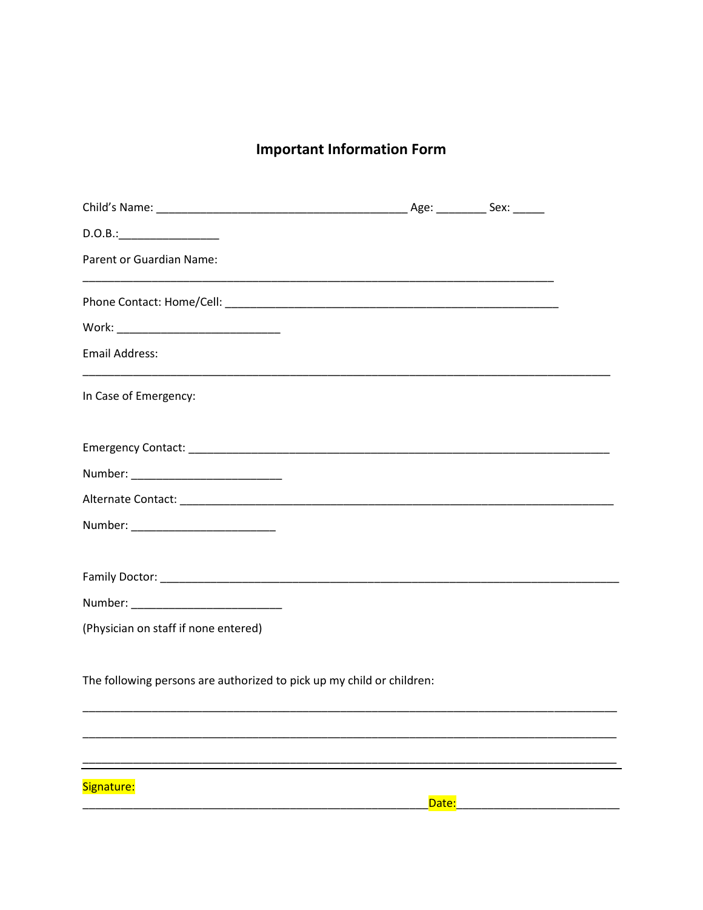# **Important Information Form**

| <b>Parent or Guardian Name:</b>                                       |       |  |
|-----------------------------------------------------------------------|-------|--|
|                                                                       |       |  |
|                                                                       |       |  |
| <b>Email Address:</b>                                                 |       |  |
| In Case of Emergency:                                                 |       |  |
|                                                                       |       |  |
|                                                                       |       |  |
|                                                                       |       |  |
|                                                                       |       |  |
|                                                                       |       |  |
|                                                                       |       |  |
|                                                                       |       |  |
| (Physician on staff if none entered)                                  |       |  |
|                                                                       |       |  |
| The following persons are authorized to pick up my child or children: |       |  |
|                                                                       |       |  |
|                                                                       |       |  |
|                                                                       |       |  |
| Signature:                                                            | Date: |  |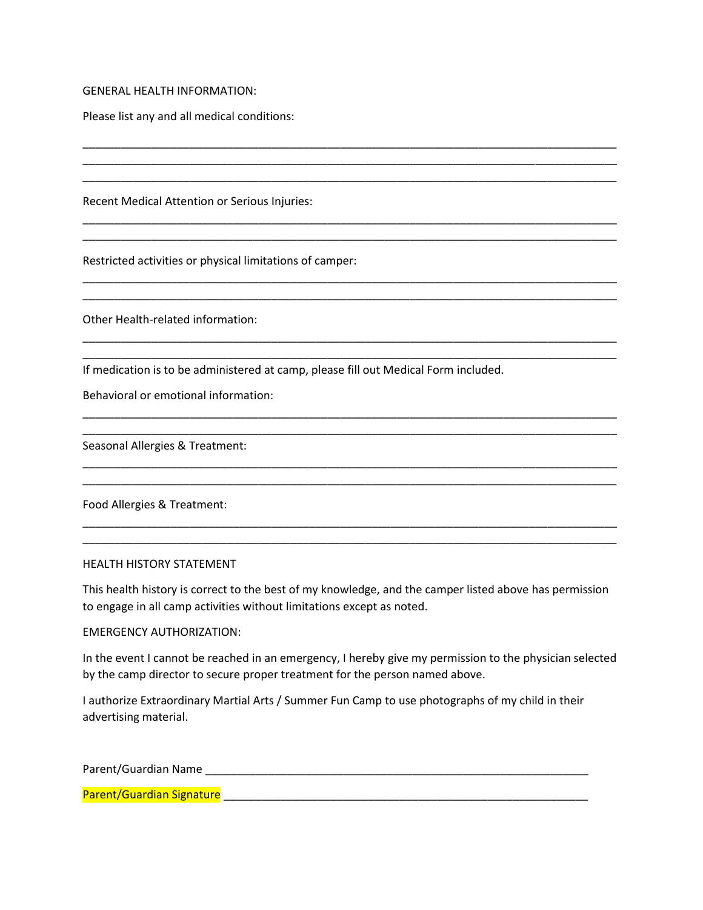GENERAL HEALTH INFORMATION:

Please list any and all medical conditions:

Recent Medical Attention or Serious Injuries:

Restricted activities or physical limitations of camper:

Other Health-related information:

If medication is to be administered at camp, please fill out Medical Form included.

Behavioral or emotional information:

Seasonal Allergies & Treatment:

Food Allergies & Treatment:

#### HEALTH HISTORY STATEMENT

This health history is correct to the best of my knowledge, and the camper listed above has permission to engage in all camp activities without limitations except as noted.

\_\_\_\_\_\_\_\_\_\_\_\_\_\_\_\_\_\_\_\_\_\_\_\_\_\_\_\_\_\_\_\_\_\_\_\_\_\_\_\_\_\_\_\_\_\_\_\_\_\_\_\_\_\_\_\_\_\_\_\_\_\_\_\_\_\_\_\_\_\_\_\_\_\_\_\_\_\_\_\_\_\_\_\_\_ \_\_\_\_\_\_\_\_\_\_\_\_\_\_\_\_\_\_\_\_\_\_\_\_\_\_\_\_\_\_\_\_\_\_\_\_\_\_\_\_\_\_\_\_\_\_\_\_\_\_\_\_\_\_\_\_\_\_\_\_\_\_\_\_\_\_\_\_\_\_\_\_\_\_\_\_\_\_\_\_\_\_\_\_\_ \_\_\_\_\_\_\_\_\_\_\_\_\_\_\_\_\_\_\_\_\_\_\_\_\_\_\_\_\_\_\_\_\_\_\_\_\_\_\_\_\_\_\_\_\_\_\_\_\_\_\_\_\_\_\_\_\_\_\_\_\_\_\_\_\_\_\_\_\_\_\_\_\_\_\_\_\_\_\_\_\_\_\_\_\_

\_\_\_\_\_\_\_\_\_\_\_\_\_\_\_\_\_\_\_\_\_\_\_\_\_\_\_\_\_\_\_\_\_\_\_\_\_\_\_\_\_\_\_\_\_\_\_\_\_\_\_\_\_\_\_\_\_\_\_\_\_\_\_\_\_\_\_\_\_\_\_\_\_\_\_\_\_\_\_\_\_\_\_\_\_ \_\_\_\_\_\_\_\_\_\_\_\_\_\_\_\_\_\_\_\_\_\_\_\_\_\_\_\_\_\_\_\_\_\_\_\_\_\_\_\_\_\_\_\_\_\_\_\_\_\_\_\_\_\_\_\_\_\_\_\_\_\_\_\_\_\_\_\_\_\_\_\_\_\_\_\_\_\_\_\_\_\_\_\_\_

\_\_\_\_\_\_\_\_\_\_\_\_\_\_\_\_\_\_\_\_\_\_\_\_\_\_\_\_\_\_\_\_\_\_\_\_\_\_\_\_\_\_\_\_\_\_\_\_\_\_\_\_\_\_\_\_\_\_\_\_\_\_\_\_\_\_\_\_\_\_\_\_\_\_\_\_\_\_\_\_\_\_\_\_\_ \_\_\_\_\_\_\_\_\_\_\_\_\_\_\_\_\_\_\_\_\_\_\_\_\_\_\_\_\_\_\_\_\_\_\_\_\_\_\_\_\_\_\_\_\_\_\_\_\_\_\_\_\_\_\_\_\_\_\_\_\_\_\_\_\_\_\_\_\_\_\_\_\_\_\_\_\_\_\_\_\_\_\_\_\_

\_\_\_\_\_\_\_\_\_\_\_\_\_\_\_\_\_\_\_\_\_\_\_\_\_\_\_\_\_\_\_\_\_\_\_\_\_\_\_\_\_\_\_\_\_\_\_\_\_\_\_\_\_\_\_\_\_\_\_\_\_\_\_\_\_\_\_\_\_\_\_\_\_\_\_\_\_\_\_\_\_\_\_\_\_ \_\_\_\_\_\_\_\_\_\_\_\_\_\_\_\_\_\_\_\_\_\_\_\_\_\_\_\_\_\_\_\_\_\_\_\_\_\_\_\_\_\_\_\_\_\_\_\_\_\_\_\_\_\_\_\_\_\_\_\_\_\_\_\_\_\_\_\_\_\_\_\_\_\_\_\_\_\_\_\_\_\_\_\_\_

\_\_\_\_\_\_\_\_\_\_\_\_\_\_\_\_\_\_\_\_\_\_\_\_\_\_\_\_\_\_\_\_\_\_\_\_\_\_\_\_\_\_\_\_\_\_\_\_\_\_\_\_\_\_\_\_\_\_\_\_\_\_\_\_\_\_\_\_\_\_\_\_\_\_\_\_\_\_\_\_\_\_\_\_\_ \_\_\_\_\_\_\_\_\_\_\_\_\_\_\_\_\_\_\_\_\_\_\_\_\_\_\_\_\_\_\_\_\_\_\_\_\_\_\_\_\_\_\_\_\_\_\_\_\_\_\_\_\_\_\_\_\_\_\_\_\_\_\_\_\_\_\_\_\_\_\_\_\_\_\_\_\_\_\_\_\_\_\_\_\_

\_\_\_\_\_\_\_\_\_\_\_\_\_\_\_\_\_\_\_\_\_\_\_\_\_\_\_\_\_\_\_\_\_\_\_\_\_\_\_\_\_\_\_\_\_\_\_\_\_\_\_\_\_\_\_\_\_\_\_\_\_\_\_\_\_\_\_\_\_\_\_\_\_\_\_\_\_\_\_\_\_\_\_\_\_ \_\_\_\_\_\_\_\_\_\_\_\_\_\_\_\_\_\_\_\_\_\_\_\_\_\_\_\_\_\_\_\_\_\_\_\_\_\_\_\_\_\_\_\_\_\_\_\_\_\_\_\_\_\_\_\_\_\_\_\_\_\_\_\_\_\_\_\_\_\_\_\_\_\_\_\_\_\_\_\_\_\_\_\_\_

\_\_\_\_\_\_\_\_\_\_\_\_\_\_\_\_\_\_\_\_\_\_\_\_\_\_\_\_\_\_\_\_\_\_\_\_\_\_\_\_\_\_\_\_\_\_\_\_\_\_\_\_\_\_\_\_\_\_\_\_\_\_\_\_\_\_\_\_\_\_\_\_\_\_\_\_\_\_\_\_\_\_\_\_\_ \_\_\_\_\_\_\_\_\_\_\_\_\_\_\_\_\_\_\_\_\_\_\_\_\_\_\_\_\_\_\_\_\_\_\_\_\_\_\_\_\_\_\_\_\_\_\_\_\_\_\_\_\_\_\_\_\_\_\_\_\_\_\_\_\_\_\_\_\_\_\_\_\_\_\_\_\_\_\_\_\_\_\_\_\_

#### EMERGENCY AUTHORIZATION:

In the event I cannot be reached in an emergency, I hereby give my permission to the physician selected by the camp director to secure proper treatment for the person named above.

I authorize Extraordinary Martial Arts / Summer Fun Camp to use photographs of my child in their advertising material.

Parent/Guardian Name \_\_\_\_\_\_\_\_\_\_\_\_\_\_\_\_\_\_\_\_\_\_\_\_\_\_\_\_\_\_\_\_\_\_\_\_\_\_\_\_\_\_\_\_\_\_\_\_\_\_\_\_\_\_\_\_\_\_\_\_\_

Parent/Guardian Signature \_\_\_\_\_\_\_\_\_\_\_\_\_\_\_\_\_\_\_\_\_\_\_\_\_\_\_\_\_\_\_\_\_\_\_\_\_\_\_\_\_\_\_\_\_\_\_\_\_\_\_\_\_\_\_\_\_\_